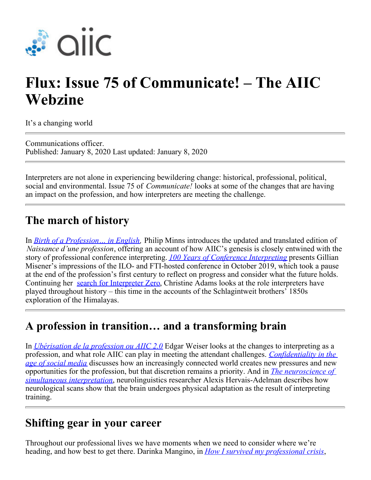

# **Flux: Issue 75 of Communicate! – The AIIC Webzine**

It's a changing world

Communications officer. Published: January 8, 2020 Last updated: January 8, 2020

Interpreters are not alone in experiencing bewildering change: historical, professional, political, social and environmental. Issue 75 of *Communicate!* looks at some of the changes that are having an impact on the profession, and how interpreters are meeting the challenge.

### **The march of history**

In *[Birth of a Profession… in English](https://members.aiic.net/page/8908),* Philip Minns introduces the updated and translated edition of *Naissance d'une profession*, offering an account of how AIIC's genesis is closely entwined with the story of professional conference interpreting. *[100 Years of Conference Interpreting](https://members.aiic.net/page/8878)* presents Gillian Misener's impressions of the ILO- and FTI-hosted conference in October 2019, which took a pause at the end of the profession's first century to reflect on progress and consider what the future holds. Continuing her [search for Interpreter Zero](https://members.aiic.net/page/8870), Christine Adams looks at the role interpreters have played throughout history – this time in the accounts of the Schlagintweit brothers' 1850s exploration of the Himalayas.

#### **A profession in transition… and a transforming brain**

In *[Ubérisation de la profession ou AIIC 2.0](https://members.aiic.net/page/8914)* Edgar Weiser looks at the changes to interpreting as a profession, and what role AIIC can play in meeting the attendant challenges. *[Confidentiality in the](https://members.aiic.net/page/8917/) [age of social media](https://members.aiic.net/page/8917/)* discusses how an increasingly connected world creates new pressures and new opportunities for the profession, but that discretion remains a priority. And in *[The neuroscience of](https://members.aiic.net/page/8907/) [simultaneous interpretation](https://members.aiic.net/page/8907/)*, neurolinguistics researcher Alexis Hervais-Adelman describes how neurological scans show that the brain undergoes physical adaptation as the result of interpreting training.

#### **Shifting gear in your career**

Throughout our professional lives we have moments when we need to consider where we're heading, and how best to get there. Darinka Mangino, in *[How I survived my professional crisis](https://members.aiic.net/page/8913)*,